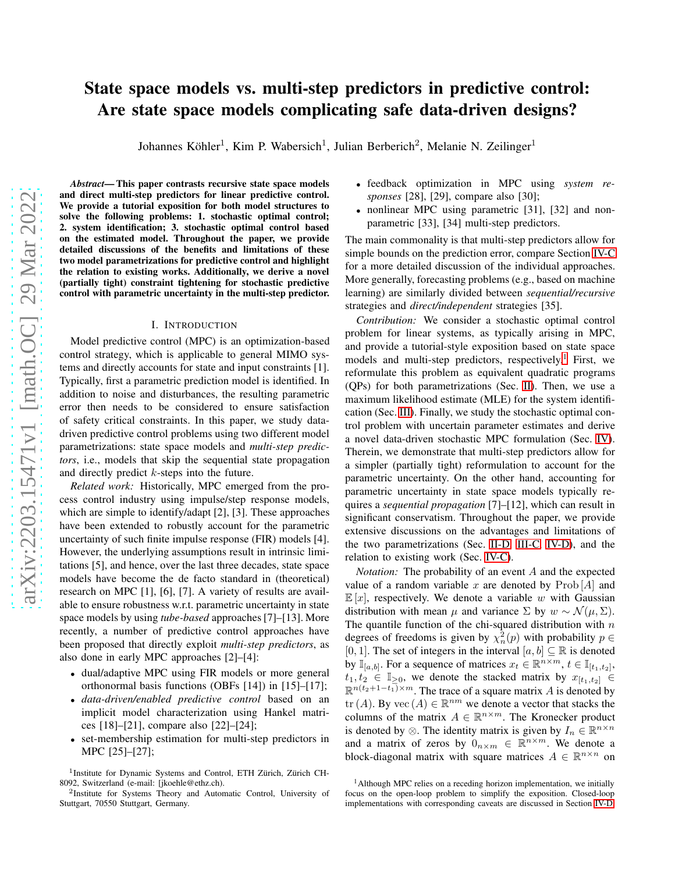# State space models vs. multi-step predictors in predictive control: Are state space models complicating safe data-driven designs?

Johannes Köhler<sup>1</sup>, Kim P. Wabersich<sup>1</sup>, Julian Berberich<sup>2</sup>, Melanie N. Zeilinger<sup>1</sup>

*Abstract*— This paper contrasts recursive state space models and direct multi-step predictors for linear predictive control. We provide a tutorial exposition for both model structures to solve the following problems: 1. stochastic optimal control; 2. system identification; 3. stochastic optimal control based on the estimated model. Throughout the paper, we provide detailed discussions of the benefits and limitations of these two model parametrizations for predictive control and highlight the relation to existing works. Additionally, we derive a novel (partially tight) constraint tightening for stochastic predictive control with parametric uncertainty in the multi-step predictor.

#### I. INTRODUCTION

Model predictive control (MPC) is an optimization-based control strategy, which is applicable to general MIMO systems and directly accounts for state and input constraints [1]. Typically, first a parametric prediction model is identified. In addition to noise and disturbances, the resulting parametric error then needs to be considered to ensure satisfaction of safety critical constraints. In this paper, we study datadriven predictive control problems using two different model parametrizations: state space models and *multi-step predictors*, i.e., models that skip the sequential state propagation and directly predict k-steps into the future.

*Related work:* Historically, MPC emerged from the process control industry using impulse/step response models, which are simple to identify/adapt [2], [3]. These approaches have been extended to robustly account for the parametric uncertainty of such finite impulse response (FIR) models [4]. However, the underlying assumptions result in intrinsic limitations [5], and hence, over the last three decades, state space models have become the de facto standard in (theoretical) research on MPC [1], [6], [7]. A variety of results are available to ensure robustness w.r.t. parametric uncertainty in state space models by using *tube-based* approaches [7]–[13]. More recently, a number of predictive control approaches have been proposed that directly exploit *multi-step predictors*, as also done in early MPC approaches [2]–[4]:

- dual/adaptive MPC using FIR models or more general orthonormal basis functions (OBFs [14]) in [15]–[17];
- *data-driven/enabled predictive control* based on an implicit model characterization using Hankel matrices [18]–[21], compare also [22]–[24];
- set-membership estimation for multi-step predictors in MPC [25]–[27];
- feedback optimization in MPC using *system responses* [28], [29], compare also [30];
- nonlinear MPC using parametric [31], [32] and nonparametric [33], [34] multi-step predictors.

The main commonality is that multi-step predictors allow for simple bounds on the prediction error, compare Section [IV-C](#page-5-0) for a more detailed discussion of the individual approaches. More generally, forecasting problems (e.g., based on machine learning) are similarly divided between *sequential/recursive* strategies and *direct/independent* strategies [35].

*Contribution:* We consider a stochastic optimal control problem for linear systems, as typically arising in MPC, and provide a tutorial-style exposition based on state space models and multi-step predictors, respectively.<sup>1</sup> First, we reformulate this problem as equivalent quadratic programs (QPs) for both parametrizations (Sec. [II\)](#page-1-0). Then, we use a maximum likelihood estimate (MLE) for the system identification (Sec. [III\)](#page-2-0). Finally, we study the stochastic optimal control problem with uncertain parameter estimates and derive a novel data-driven stochastic MPC formulation (Sec. [IV\)](#page-4-0). Therein, we demonstrate that multi-step predictors allow for a simpler (partially tight) reformulation to account for the parametric uncertainty. On the other hand, accounting for parametric uncertainty in state space models typically requires a *sequential propagation* [7]–[12], which can result in significant conservatism. Throughout the paper, we provide extensive discussions on the advantages and limitations of the two parametrizations (Sec. [II-D,](#page-1-1) [III-C,](#page-3-0) [IV-D\)](#page-5-1), and the relation to existing work (Sec. [IV-C\)](#page-5-0).

*Notation:* The probability of an event A and the expected value of a random variable x are denoted by  $\text{Prob}[A]$  and  $\mathbb{E}[x]$ , respectively. We denote a variable w with Gaussian distribution with mean  $\mu$  and variance  $\Sigma$  by  $w \sim \mathcal{N}(\mu, \Sigma)$ . The quantile function of the chi-squared distribution with  $n$ degrees of freedoms is given by  $\chi_n^2(p)$  with probability  $p \in$ [0, 1]. The set of integers in the interval  $[a, b] \subseteq \mathbb{R}$  is denoted by  $\mathbb{I}_{[a,b]}$ . For a sequence of matrices  $x_t \in \mathbb{R}^{n \times m}$ ,  $t \in \mathbb{I}_{[t_1,t_2]}$ ,  $t_1, t_2 \in \mathbb{I}_{\geq 0}$ , we denote the stacked matrix by  $x_{[t_1,t_2]} \in$  $\mathbb{R}^{n(t_2+1-t_1)\times m}$ . The trace of a square matrix A is denoted by tr (A). By vec  $(A) \in \mathbb{R}^{nm}$  we denote a vector that stacks the columns of the matrix  $A \in \mathbb{R}^{n \times m}$ . The Kronecker product is denoted by  $\otimes$ . The identity matrix is given by  $I_n \in \mathbb{R}^{n \times n}$ and a matrix of zeros by  $0_{n \times m} \in \mathbb{R}^{n \times m}$ . We denote a block-diagonal matrix with square matrices  $A \in \mathbb{R}^{n \times n}$  on

<sup>&</sup>lt;sup>1</sup>Institute for Dynamic Systems and Control, ETH Zürich, Zürich CH-8092, Switzerland (e-mail: [jkoehle@ethz.ch).

<sup>&</sup>lt;sup>2</sup>Institute for Systems Theory and Automatic Control, University of Stuttgart, 70550 Stuttgart, Germany.

<sup>&</sup>lt;sup>1</sup>Although MPC relies on a receding horizon implementation, we initially focus on the open-loop problem to simplify the exposition. Closed-loop implementations with corresponding caveats are discussed in Section [IV-D.](#page-5-1)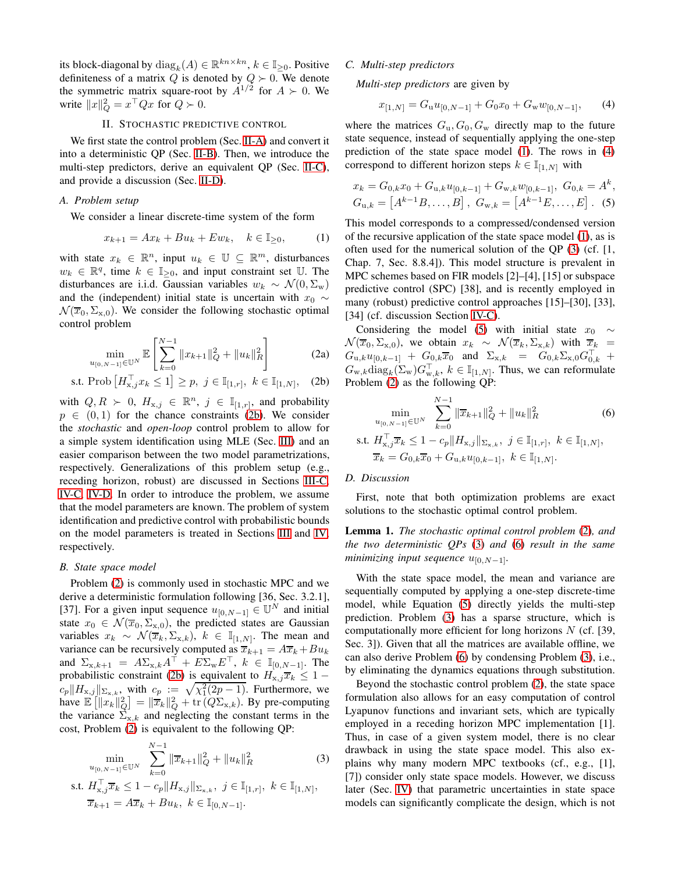its block-diagonal by  $diag_k(A) \in \mathbb{R}^{kn \times kn}$ ,  $k \in \mathbb{I}_{\geq 0}$ . Positive definiteness of a matrix Q is denoted by  $Q \succ 0$ . We denote the symmetric matrix square-root by  $A^{1/2}$  for  $A \succ 0$ . We write  $||x||_Q^2 = x^\top Q x$  for  $Q \succ 0$ .

#### II. STOCHASTIC PREDICTIVE CONTROL

<span id="page-1-0"></span>We first state the control problem (Sec. [II-A\)](#page-1-2) and convert it into a deterministic QP (Sec. [II-B\)](#page-1-3). Then, we introduce the multi-step predictors, derive an equivalent QP (Sec. [II-C\)](#page-1-4), and provide a discussion (Sec. [II-D\)](#page-1-1).

# <span id="page-1-2"></span>*A. Problem setup*

We consider a linear discrete-time system of the form

$$
x_{k+1} = Ax_k + Bu_k + Ew_k, \quad k \in \mathbb{I}_{\geq 0},
$$
 (1)

with state  $x_k \in \mathbb{R}^n$ , input  $u_k \in \mathbb{U} \subseteq \mathbb{R}^m$ , disturbances  $w_k \in \mathbb{R}^q$ , time  $k \in \mathbb{I}_{\geq 0}$ , and input constraint set U. The disturbances are i.i.d. Gaussian variables  $w_k \sim \mathcal{N}(0, \Sigma_{\rm w})$ and the (independent) initial state is uncertain with  $x_0 \sim$  $\mathcal{N}(\overline{x}_0, \Sigma_{\bf x,0})$ . We consider the following stochastic optimal control problem

$$
\min_{u_{[0,N-1]}\in\mathbb{U}^N} \mathbb{E}\left[\sum_{k=0}^{N-1} \|x_{k+1}\|_{Q}^2 + \|u_k\|_{R}^2\right]
$$
(2a)

s.t. 
$$
\text{Prob}\left[H_{x,j}^{\top} x_k \leq 1\right] \geq p, \ j \in \mathbb{I}_{[1,r]}, \ k \in \mathbb{I}_{[1,N]}, \ (2b)
$$

with  $Q, R \succ 0$ ,  $H_{x,j} \in \mathbb{R}^n$ ,  $j \in \mathbb{I}_{[1,r]}$ , and probability  $p \in (0, 1)$  for the chance constraints [\(2b\)](#page-1-5). We consider the *stochastic* and *open-loop* control problem to allow for a simple system identification using MLE (Sec. [III\)](#page-2-0) and an easier comparison between the two model parametrizations, respectively. Generalizations of this problem setup (e.g., receding horizon, robust) are discussed in Sections [III-C,](#page-3-0) [IV-C,](#page-5-0) [IV-D.](#page-5-1) In order to introduce the problem, we assume that the model parameters are known. The problem of system identification and predictive control with probabilistic bounds on the model parameters is treated in Sections [III](#page-2-0) and [IV,](#page-4-0) respectively.

#### <span id="page-1-3"></span>*B. State space model*

Problem [\(2\)](#page-1-5) is commonly used in stochastic MPC and we derive a deterministic formulation following [36, Sec. 3.2.1], [37]. For a given input sequence  $u_{[0,N-1]} \in \mathbb{U}^N$  and initial state  $x_0 \in \mathcal{N}(\overline{x}_0, \Sigma_{\text{x},0})$ , the predicted states are Gaussian variables  $x_k \sim \mathcal{N}(\overline{x}_k, \Sigma_{x,k}), k \in \mathbb{I}_{[1,N]}$ . The mean and variance can be recursively computed as  $\overline{x}_{k+1} = A\overline{x}_k + Bu_k$ and  $\Sigma_{x,k+1} = A \Sigma_{x,k} A^{\dagger} + E \Sigma_{w} E^{\dagger}$ ,  $k \in \mathbb{I}_{[0,N-1]}$ . The probabilistic constraint [\(2b\)](#page-1-5) is equivalent to  $H_{x,j}\overline{x}_k \leq 1$  –  $c_p \|H_{\mathbf{x},j}\|_{\Sigma_{\mathbf{x},k}}$ , with  $c_p := \sqrt{\chi_1^2(2p-1)}$ . Furthermore, we have  $\mathbb{E} \left[ \left\| x_k \right\|_Q^2 \right] = \left\| \overline{x}_k \right\|_Q^2 + \text{tr} \left( Q \Sigma_{x,k} \right)$ . By pre-computing the variance  $\Sigma_{x,k}$  and neglecting the constant terms in the cost, Problem [\(2\)](#page-1-5) is equivalent to the following QP:

$$
\min_{u_{[0,N-1]}\in\mathbb{U}^N} \sum_{k=0}^{N-1} \|\overline{x}_{k+1}\|_{Q}^2 + \|u_k\|_{R}^2 \tag{3}
$$

$$
\begin{aligned} \text{s.t. } & H_{\mathbf{x},j}^\top \overline{x}_k \le 1 - c_p \Vert H_{\mathbf{x},j} \Vert_{\Sigma_{\mathbf{x},k}}, \ j \in \mathbb{I}_{[1,r]}, \ k \in \mathbb{I}_{[1,N]},\\ & \overline{x}_{k+1} = A \overline{x}_k + B u_k, \ k \in \mathbb{I}_{[0,N-1]}.\end{aligned}
$$

## <span id="page-1-4"></span>*C. Multi-step predictors*

*Multi-step predictors* are given by

<span id="page-1-9"></span><span id="page-1-7"></span>
$$
x_{[1,N]} = G_u u_{[0,N-1]} + G_0 x_0 + G_w w_{[0,N-1]}, \qquad (4)
$$

where the matrices  $G_u$ ,  $G_0$ ,  $G_w$  directly map to the future state sequence, instead of sequentially applying the one-step prediction of the state space model [\(1\)](#page-1-6). The rows in [\(4\)](#page-1-7) correspond to different horizon steps  $k \in \mathbb{I}_{[1,N]}$  with

$$
x_k = G_{0,k}x_0 + G_{u,k}u_{[0,k-1]} + G_{w,k}w_{[0,k-1]}, G_{0,k} = A^k,
$$
  
\n
$$
G_{u,k} = [A^{k-1}B, \dots, B], G_{w,k} = [A^{k-1}E, \dots, E].
$$
 (5)

This model corresponds to a compressed/condensed version of the recursive application of the state space model [\(1\)](#page-1-6), as is often used for the numerical solution of the QP [\(3\)](#page-1-8) (cf. [1, Chap. 7, Sec. 8.8.4]). This model structure is prevalent in MPC schemes based on FIR models [2]–[4], [15] or subspace predictive control (SPC) [38], and is recently employed in many (robust) predictive control approaches [15]–[30], [33], [34] (cf. discussion Section [IV-C\)](#page-5-0).

<span id="page-1-6"></span>Considering the model [\(5\)](#page-1-9) with initial state  $x_0 \sim$  $\mathcal{N}(\overline{x}_0, \Sigma_{\mathbf{x},0})$ , we obtain  $x_k \sim \mathcal{N}(\overline{x}_k, \Sigma_{\mathbf{x},k})$  with  $\overline{x}_k =$  $G_{u,k}u_{[0,k-1]} + G_{0,k}\overline{x}_0$  and  $\Sigma_{x,k} = G_{0,k}\Sigma_{x,0}G_{0,k}^{\top} +$  $G_{w,k} \text{diag}_k(\Sigma_w) G_{w,k}^\top, k \in \mathbb{I}_{[1,N]}$ . Thus, we can reformulate Problem [\(2\)](#page-1-5) as the following QP:

<span id="page-1-10"></span><span id="page-1-5"></span>
$$
\min_{u_{[0,N-1]}\in\mathbb{U}^N} \sum_{k=0}^{N-1} \|\overline{x}_{k+1}\|_{Q}^2 + \|u_k\|_{R}^2
$$
\nst.  $H_{x,j}^{\top} \overline{x}_k \leq 1 - c_p \|H_{x,j}\|_{\Sigma_{x,k}}, \ j \in \mathbb{I}_{[1,r]}, \ k \in \mathbb{I}_{[1,N]},$ 

\n
$$
\overline{x}_k = G_{0,k} \overline{x}_0 + G_{u,k} u_{[0,k-1]}, \ k \in \mathbb{I}_{[1,N]}.
$$

## <span id="page-1-1"></span>*D. Discussion*

First, note that both optimization problems are exact solutions to the stochastic optimal control problem.

Lemma 1. *The stochastic optimal control problem* [\(2\)](#page-1-5)*, and the two deterministic QPs* [\(3\)](#page-1-8) *and* [\(6\)](#page-1-10) *result in the same minimizing input sequence*  $u_{[0,N-1]}$ .

With the state space model, the mean and variance are sequentially computed by applying a one-step discrete-time model, while Equation [\(5\)](#page-1-9) directly yields the multi-step prediction. Problem [\(3\)](#page-1-8) has a sparse structure, which is computationally more efficient for long horizons  $N$  (cf. [39, Sec. 3]). Given that all the matrices are available offline, we can also derive Problem [\(6\)](#page-1-10) by condensing Problem [\(3\)](#page-1-8), i.e., by eliminating the dynamics equations through substitution.

<span id="page-1-8"></span>Beyond the stochastic control problem [\(2\)](#page-1-5), the state space formulation also allows for an easy computation of control Lyapunov functions and invariant sets, which are typically employed in a receding horizon MPC implementation [1]. Thus, in case of a given system model, there is no clear drawback in using the state space model. This also explains why many modern MPC textbooks (cf., e.g., [1], [7]) consider only state space models. However, we discuss later (Sec. [IV\)](#page-4-0) that parametric uncertainties in state space models can significantly complicate the design, which is not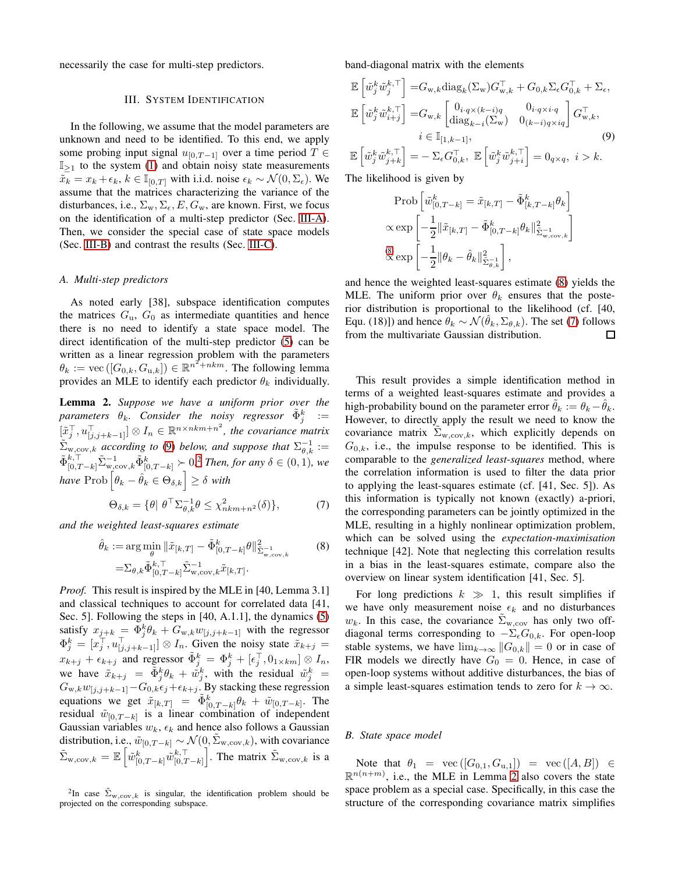<span id="page-2-0"></span>necessarily the case for multi-step predictors.

### III. SYSTEM IDENTIFICATION

In the following, we assume that the model parameters are unknown and need to be identified. To this end, we apply some probing input signal  $u_{[0,T-1]}$  over a time period  $T \in$  $\mathbb{I}_{\geq 1}$  to the system [\(1\)](#page-1-6) and obtain noisy state measurements  $\tilde{x}_k = x_k + \epsilon_k$ ,  $k \in \mathbb{I}_{[0,T]}$  with i.i.d. noise  $\epsilon_k \sim \mathcal{N}(0, \Sigma_{\epsilon})$ . We assume that the matrices characterizing the variance of the disturbances, i.e.,  $\Sigma_{w}$ ,  $\Sigma_{\epsilon}$ ,  $E$ ,  $G_{w}$ , are known. First, we focus on the identification of a multi-step predictor (Sec. [III-A\)](#page-2-1). Then, we consider the special case of state space models (Sec. [III-B\)](#page-2-2) and contrast the results (Sec. [III-C\)](#page-3-0).

#### <span id="page-2-1"></span>*A. Multi-step predictors*

As noted early [38], subspace identification computes the matrices  $G_u$ ,  $G_0$  as intermediate quantities and hence there is no need to identify a state space model. The direct identification of the multi-step predictor [\(5\)](#page-1-9) can be written as a linear regression problem with the parameters  $\theta_k := \text{vec}([G_{0,k}, G_{u,k}]) \in \mathbb{R}^{n^2 + nkm}$ . The following lemma provides an MLE to identify each predictor  $\theta_k$  individually.

<span id="page-2-6"></span>Lemma 2. *Suppose we have a uniform prior over the*  $\mathcal{p}$ arameters  $\theta_k$ . Consider the noisy regressor  $\tilde{\Phi}^k_j$  :=  $[\tilde{x}_j^\top, u_{[j,j+k-1]}^\top] \otimes I_n \in \mathbb{R}^{n \times nkm+n^2}$ , the covariance matrix  $\tilde{\Sigma}_{w, cov, k}$  *according to* [\(9\)](#page-2-3) *below, and suppose that*  $\Sigma_{\theta, k}^{-1}$  :=  $\tilde{\Phi}_{[0,T-k]}^{k,\top} \tilde{\Sigma}_{w,\text{cov},k}^{-1} \tilde{\Phi}_{[0,T-k]}^{k} \succ 0.2$  *Then, for any*  $\delta \in (0,1)$ *, we*  $h$ ave  $\text{Prob}\left[\theta_k - \hat{\theta}_k \in \Theta_{\delta,k}\right] \ge \delta$  with

$$
\Theta_{\delta,k} = \{ \theta \mid \theta^\top \Sigma_{\theta,k}^{-1} \theta \le \chi^2_{nkm+n^2}(\delta) \},\tag{7}
$$

*and the weighted least-squares estimate*

$$
\hat{\theta}_k := \arg\min_{\theta} \|\tilde{x}_{[k,T]} - \tilde{\Phi}_{[0,T-k]}^k \theta\|_{\tilde{\Sigma}_{\text{w,cov},k}^{-1}}^2 \tag{8}
$$
\n
$$
= \sum_{\theta,k} \tilde{\Phi}_{[0,T-k]}^{k,\top} \tilde{\Sigma}_{\text{w,cov},k}^{-1} \tilde{x}_{[k,T]}.
$$

*Proof.* This result is inspired by the MLE in [40, Lemma 3.1] and classical techniques to account for correlated data [41, Sec. 5]. Following the steps in [40, A.1.1], the dynamics [\(5\)](#page-1-9) satisfy  $x_{j+k} = \Phi_j^k \theta_k + G_{w,k} w_{[j,j+k-1]}$  with the regressor  $\Phi_j^k = [x_j^\top, u_{[j,j+k-1]}^\top] \otimes I_n$ . Given the noisy state  $\tilde{x}_{k+j} =$  $x_{k+j} + \epsilon_{k+j}$  and regressor  $\tilde{\Phi}_j^k = \Phi_j^k + [\epsilon_j^{\top}, 0_{1 \times km}] \otimes I_n$ , we have  $\tilde{x}_{k+j} = \tilde{\Phi}_j^k \theta_k + \tilde{\psi}_j^k$ , with the residual  $\tilde{w}_j^k =$  $G_{w,k}w_{[j,j+k-1]}-G_{0,k}\epsilon_j+\epsilon_{k+j}$ . By stacking these regression equations we get  $\tilde{x}_{[k,T]} = \tilde{\Phi}_{[0,T-k]}^k \theta_k + \tilde{w}_{[0,T-k]}$ . The residual  $\tilde{w}_{[0,T-k]}$  is a linear combination of independent Gaussian variables  $w_k$ ,  $\epsilon_k$  and hence also follows a Gaussian distribution, i.e.,  $\tilde{w}_{[0,T-k]} \sim \mathcal{N}(0, \tilde{\Sigma}_{w, cov,k})$ , with covariance  $\tilde{\Sigma}_{\mathrm{w,cov},k}=\mathbb{E}\left[\tilde{w}_{[0,T-k]}^{k}\tilde{w}_{[0,T-k]}^{k,\top}\right]$  $\left[\begin{smallmatrix}k,\top\\ [0,T-k]\end{smallmatrix}\right]$ . The matrix  $\tilde{\Sigma}_{w,{\rm cov},k}$  is a

band-diagonal matrix with the elements

$$
\mathbb{E}\left[\tilde{w}_{j}^{k}\tilde{w}_{j}^{k,\top}\right] = G_{\mathbf{w},k}\text{diag}_{k}(\Sigma_{\mathbf{w}})G_{\mathbf{w},k}^{\top} + G_{0,k}\Sigma_{\epsilon}G_{0,k}^{\top} + \Sigma_{\epsilon},
$$
\n
$$
\mathbb{E}\left[\tilde{w}_{j}^{k}\tilde{w}_{i+j}^{k,\top}\right] = G_{\mathbf{w},k}\left[\begin{matrix}0_{i\cdot q\times(k-i)q} & 0_{i\cdot q\times i\cdot q} \\ \text{diag}_{k-i}(\Sigma_{\mathbf{w}}) & 0_{(k-i)q\times iq}\end{matrix}\right]G_{\mathbf{w},k}^{\top},
$$
\n
$$
i \in \mathbb{I}_{[1,k-1]},
$$
\n(9)

 $\mathbb{E}\left[\tilde{w}_j^k\tilde{w}_{j+k}^{k,\top}\right]=-\left.\Sigma_{\epsilon}G_{0,k}^{\top},\,\,\mathbb{E}\left[\tilde{w}_j^k\tilde{w}_{j+i}^{k,\top}\right]=0_{q\times q},\,\,i>k. \right.$ 

The likelihood is given by

<span id="page-2-3"></span>
$$
\text{Prob}\left[\tilde{w}_{[0,T-k]}^k = \tilde{x}_{[k,T]} - \tilde{\Phi}_{[k,T-k]}^k \theta_k\right] \\
\propto \exp\left[-\frac{1}{2} \|\tilde{x}_{[k,T]} - \tilde{\Phi}_{[0,T-k]}^k \theta_k\|_{\tilde{\Sigma}_{\text{w,cov},k}}^2\right] \\
\overset{(8)}{\propto} \exp\left[-\frac{1}{2} \|\theta_k - \hat{\theta}_k\|_{\tilde{\Sigma}_{\theta,k}}^2\right],
$$

and hence the weighted least-squares estimate [\(8\)](#page-2-4) yields the MLE. The uniform prior over  $\theta_k$  ensures that the posterior distribution is proportional to the likelihood (cf. [40, Equ. (18)]) and hence  $\hat{\theta}_k \sim \mathcal{N}(\hat{\theta}_k, \Sigma_{\theta,k})$ . The set [\(7\)](#page-2-5) follows from the multivariate Gaussian distribution.  $\Box$ 

This result provides a simple identification method in terms of a weighted least-squares estimate and provides a high-probability bound on the parameter error  $\theta_k := \theta_k - \tilde{\theta}_k$ . However, to directly apply the result we need to know the covariance matrix  $\Sigma_{w, cov, k}$ , which explicitly depends on  $G_{0,k}$ , i.e., the impulse response to be identified. This is comparable to the *generalized least-squares* method, where the correlation information is used to filter the data prior to applying the least-squares estimate (cf. [41, Sec. 5]). As this information is typically not known (exactly) a-priori, the corresponding parameters can be jointly optimized in the MLE, resulting in a highly nonlinear optimization problem, which can be solved using the *expectation-maximisation* technique [42]. Note that neglecting this correlation results in a bias in the least-squares estimate, compare also the overview on linear system identification [41, Sec. 5].

<span id="page-2-5"></span><span id="page-2-4"></span>For long predictions  $k \gg 1$ , this result simplifies if we have only measurement noise  $\epsilon_k$  and no disturbances  $w_k$ . In this case, the covariance  $\Sigma_{w,cov}$  has only two offdiagonal terms corresponding to  $-\Sigma_{\epsilon}G_{0,k}$ . For open-loop stable systems, we have  $\lim_{k\to\infty} ||G_{0,k}|| = 0$  or in case of FIR models we directly have  $G_0 = 0$ . Hence, in case of open-loop systems without additive disturbances, the bias of a simple least-squares estimation tends to zero for  $k \to \infty$ .

## <span id="page-2-2"></span>*B. State space model*

Note that  $\theta_1 = \text{vec}([G_{0,1}, G_{u,1}]) = \text{vec}([A, B]) \in$  $\mathbb{R}^{n(n+m)}$ , i.e., the MLE in Lemma [2](#page-2-6) also covers the state space problem as a special case. Specifically, in this case the structure of the corresponding covariance matrix simplifies

<sup>&</sup>lt;sup>2</sup>In case  $\tilde{\Sigma}_{w, cov, k}$  is singular, the identification problem should be projected on the corresponding subspace.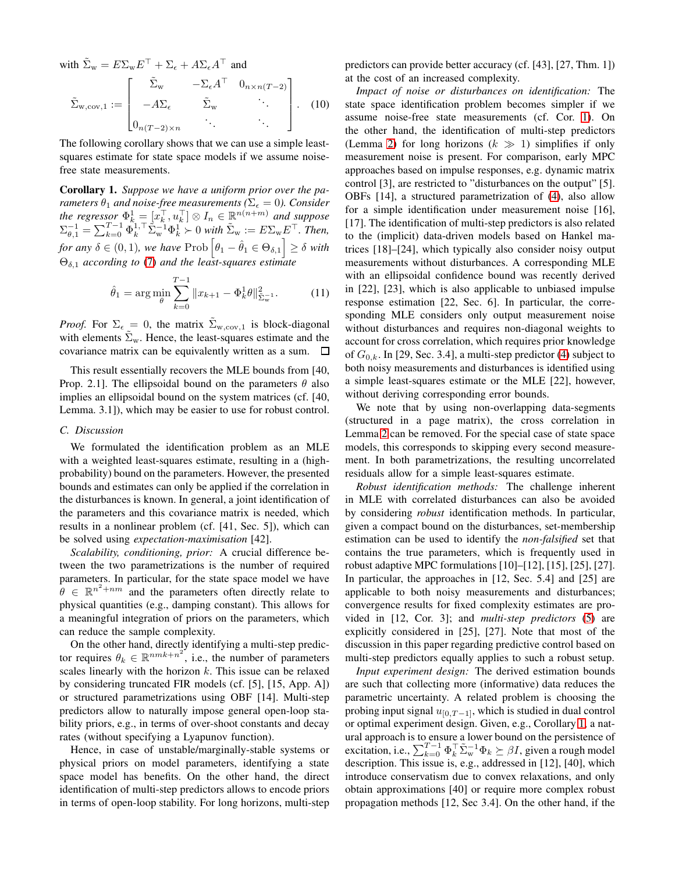with  $\tilde{\Sigma}_{w} = E \Sigma_{w} E^{\top} + \Sigma_{\epsilon} + A \Sigma_{\epsilon} A^{\top}$  and  $\tilde{\Sigma}_{w,{\rm cov},1} :=$  $\sqrt{ }$  $\Big\}$  $\tilde{\Sigma}_{\rm w}$   $-\Sigma_{\epsilon} A^{\top}$   $0_{n \times n(T-2)}$  $-A\Sigma_{\epsilon}$   $\tilde{\Sigma}_{w}$   $\therefore$  $0_{n(T-2)\times n}$  . 1 . (10)

The following corollary shows that we can use a simple leastsquares estimate for state space models if we assume noisefree state measurements.

<span id="page-3-1"></span>Corollary 1. *Suppose we have a uniform prior over the parameters*  $\theta_1$  *and noise-free measurements* ( $\Sigma_{\epsilon} = 0$ ). Consider *the regressor*  $\Phi_k^1 = [x_k^{\top}, u_k^{\top}] \otimes I_n \in \mathbb{R}^{n(n+m)}$  *and suppose*  $\Sigma_{\theta,1}^{-1} = \sum_{k=0}^{T-1} \Phi_k^{1,\top} \tilde{\Sigma}_{\rm w}^{-1} \Phi_k^{1} \succ 0$  with  $\tilde{\Sigma}_{\rm w} := E \Sigma_{\rm w} E^{\top}$ . Then, for any  $\delta \in (0,1)$ , we have Prob  $\left[\theta_1 - \hat{\theta}_1 \in \Theta_{\delta,1}\right] \ge \delta$  with Θδ,<sup>1</sup> *according to* [\(7\)](#page-2-5) *and the least-squares estimate*

$$
\hat{\theta}_1 = \arg\min_{\theta} \sum_{k=0}^{T-1} \|x_{k+1} - \Phi_k^1 \theta\|_{\tilde{\Sigma}_{\mathbf{w}}^{-1}}^2. \tag{11}
$$

*Proof.* For  $\Sigma_{\epsilon} = 0$ , the matrix  $\tilde{\Sigma}_{w, cov,1}$  is block-diagonal with elements  $\Sigma_{w}$ . Hence, the least-squares estimate and the covariance matrix can be equivalently written as a sum.  $\Box$ 

This result essentially recovers the MLE bounds from [40, Prop. 2.1]. The ellipsoidal bound on the parameters  $\theta$  also implies an ellipsoidal bound on the system matrices (cf. [40, Lemma. 3.1]), which may be easier to use for robust control.

## <span id="page-3-0"></span>*C. Discussion*

We formulated the identification problem as an MLE with a weighted least-squares estimate, resulting in a (highprobability) bound on the parameters. However, the presented bounds and estimates can only be applied if the correlation in the disturbances is known. In general, a joint identification of the parameters and this covariance matrix is needed, which results in a nonlinear problem (cf. [41, Sec. 5]), which can be solved using *expectation-maximisation* [42].

*Scalability, conditioning, prior:* A crucial difference between the two parametrizations is the number of required parameters. In particular, for the state space model we have  $\hat{\theta} \in \mathbb{R}^{n^2 + nm}$  and the parameters often directly relate to physical quantities (e.g., damping constant). This allows for a meaningful integration of priors on the parameters, which can reduce the sample complexity.

On the other hand, directly identifying a multi-step predictor requires  $\theta_k \in \mathbb{R}^{nmk+n^2}$ , i.e., the number of parameters scales linearly with the horizon  $k$ . This issue can be relaxed by considering truncated FIR models (cf. [5], [15, App. A]) or structured parametrizations using OBF [14]. Multi-step predictors allow to naturally impose general open-loop stability priors, e.g., in terms of over-shoot constants and decay rates (without specifying a Lyapunov function).

Hence, in case of unstable/marginally-stable systems or physical priors on model parameters, identifying a state space model has benefits. On the other hand, the direct identification of multi-step predictors allows to encode priors in terms of open-loop stability. For long horizons, multi-step predictors can provide better accuracy (cf. [43], [27, Thm. 1]) at the cost of an increased complexity.

*Impact of noise or disturbances on identification:* The state space identification problem becomes simpler if we assume noise-free state measurements (cf. Cor. [1\)](#page-3-1). On the other hand, the identification of multi-step predictors (Lemma [2\)](#page-2-6) for long horizons  $(k \gg 1)$  simplifies if only measurement noise is present. For comparison, early MPC approaches based on impulse responses, e.g. dynamic matrix control [3], are restricted to "disturbances on the output" [5]. OBFs [14], a structured parametrization of [\(4\)](#page-1-7), also allow for a simple identification under measurement noise [16], [17]. The identification of multi-step predictors is also related to the (implicit) data-driven models based on Hankel matrices [18]–[24], which typically also consider noisy output measurements without disturbances. A corresponding MLE with an ellipsoidal confidence bound was recently derived in [22], [23], which is also applicable to unbiased impulse response estimation [22, Sec. 6]. In particular, the corresponding MLE considers only output measurement noise without disturbances and requires non-diagonal weights to account for cross correlation, which requires prior knowledge of  $G_{0,k}$ . In [29, Sec. 3.4], a multi-step predictor [\(4\)](#page-1-7) subject to both noisy measurements and disturbances is identified using a simple least-squares estimate or the MLE [22], however, without deriving corresponding error bounds.

We note that by using non-overlapping data-segments (structured in a page matrix), the cross correlation in Lemma [2](#page-2-6) can be removed. For the special case of state space models, this corresponds to skipping every second measurement. In both parametrizations, the resulting uncorrelated residuals allow for a simple least-squares estimate.

*Robust identification methods:* The challenge inherent in MLE with correlated disturbances can also be avoided by considering *robust* identification methods. In particular, given a compact bound on the disturbances, set-membership estimation can be used to identify the *non-falsified* set that contains the true parameters, which is frequently used in robust adaptive MPC formulations [10]–[12], [15], [25], [27]. In particular, the approaches in [12, Sec. 5.4] and [25] are applicable to both noisy measurements and disturbances; convergence results for fixed complexity estimates are provided in [12, Cor. 3]; and *multi-step predictors* [\(5\)](#page-1-9) are explicitly considered in [25], [27]. Note that most of the discussion in this paper regarding predictive control based on multi-step predictors equally applies to such a robust setup.

*Input experiment design:* The derived estimation bounds are such that collecting more (informative) data reduces the parametric uncertainty. A related problem is choosing the probing input signal  $u_{[0,T-1]}$ , which is studied in dual control or optimal experiment design. Given, e.g., Corollary [1,](#page-3-1) a natural approach is to ensure a lower bound on the persistence of excitation, i.e.,  $\sum_{k=0}^{T-1} \Phi_k^{\top} \tilde{\Sigma}_{\rm w}^{-1} \Phi_k \succeq \beta I$ , given a rough model description. This issue is, e.g., addressed in [12], [40], which introduce conservatism due to convex relaxations, and only obtain approximations [40] or require more complex robust propagation methods [12, Sec 3.4]. On the other hand, if the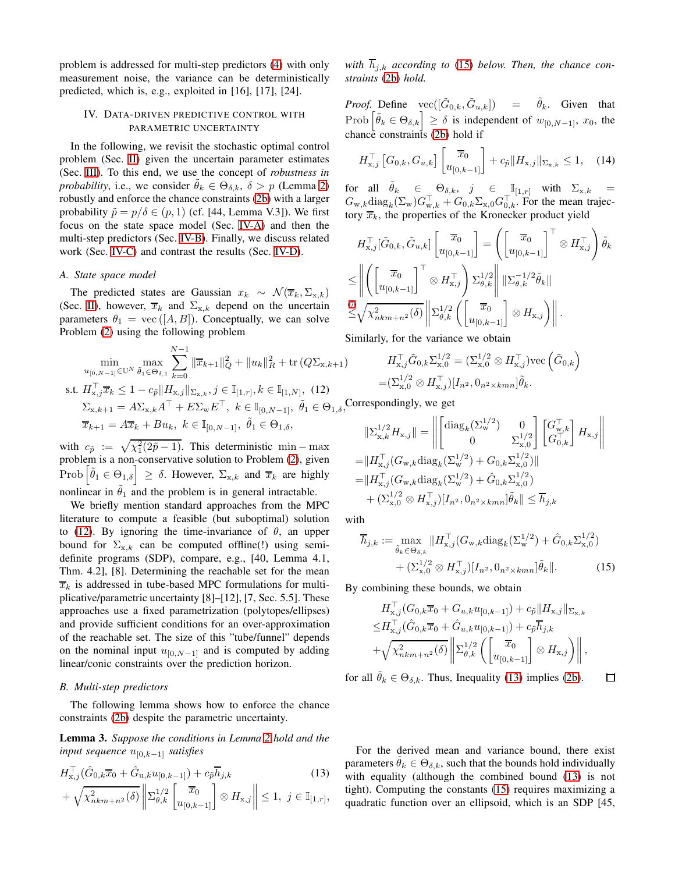problem is addressed for multi-step predictors [\(4\)](#page-1-7) with only measurement noise, the variance can be deterministically predicted, which is, e.g., exploited in [16], [17], [24].

## <span id="page-4-0"></span>IV. DATA-DRIVEN PREDICTIVE CONTROL WITH PARAMETRIC UNCERTAINTY

In the following, we revisit the stochastic optimal control problem (Sec. [II\)](#page-1-0) given the uncertain parameter estimates (Sec. [III\)](#page-2-0). To this end, we use the concept of *robustness in probability*, i.e., we consider  $\theta_k \in \Theta_{\delta,k}$ ,  $\delta > p$  (Lemma [2\)](#page-2-6) robustly and enforce the chance constraints [\(2b\)](#page-1-5) with a larger probability  $\tilde{p} = p/\delta \in (p, 1)$  (cf. [44, Lemma V.3]). We first focus on the state space model (Sec. [IV-A\)](#page-4-1) and then the multi-step predictors (Sec. [IV-B\)](#page-4-2). Finally, we discuss related work (Sec. [IV-C\)](#page-5-0) and contrast the results (Sec. [IV-D\)](#page-5-1).

#### <span id="page-4-1"></span>*A. State space model*

The predicted states are Gaussian  $x_k \sim \mathcal{N}(\overline{x}_k, \Sigma_{x,k})$ (Sec. [II\)](#page-1-0), however,  $\overline{x}_k$  and  $\Sigma_{x,k}$  depend on the uncertain parameters  $\theta_1 = \text{vec}([A, B])$ . Conceptually, we can solve Problem [\(2\)](#page-1-5) using the following problem

$$
\min_{u_{[0,N-1]}\in\mathbb{U}^N} \max_{\tilde{\theta}_1\in\Theta_{\delta,1}} \sum_{k=0}^{N-1} \|\overline{x}_{k+1}\|_{Q}^2 + \|u_k\|_{R}^2 + \text{tr}\left(Q\Sigma_{\mathbf{x},k+1}\right)
$$
  
s.t.  $H_{\mathbf{x},j}^{\top}\overline{x}_{k} \leq 1 - c_{\tilde{p}}\|H_{\mathbf{x},j}\|_{\Sigma_{\mathbf{x},k}}, j \in \mathbb{I}_{[1,r]}, k \in \mathbb{I}_{[1,N]},$  (12)  

$$
\Sigma_{\mathbf{x},k+1} = A\Sigma_{\mathbf{x},k}A^{\top} + E\Sigma_{\mathbf{w}}E^{\top}, k \in \mathbb{I}_{[0,N-1]}, \ \tilde{\theta}_1 \in \Theta_{1,\delta},
$$
  

$$
\overline{x}_{k+1} = A\overline{x}_{k} + Bu_{k}, k \in \mathbb{I}_{[0,N-1]}, \ \tilde{\theta}_1 \in \Theta_{1,\delta},
$$

with  $c_{\tilde{p}} := \sqrt{\chi_1^2(2\tilde{p} - 1)}$ . This deterministic min – max problem is a non-conservative solution to Problem [\(2\)](#page-1-5), given Prob  $|\tilde{\theta}_1 \in \Theta_{1,\delta}| \geq \delta$ . However,  $\Sigma_{x,k}$  and  $\overline{x}_k$  are highly nonlinear in  $\theta_1$  and the problem is in general intractable.

We briefly mention standard approaches from the MPC literature to compute a feasible (but suboptimal) solution to [\(12\)](#page-4-3). By ignoring the time-invariance of  $\theta$ , an upper bound for  $\Sigma_{x,k}$  can be computed offline(!) using semidefinite programs (SDP), compare, e.g., [40, Lemma 4.1, Thm. 4.2], [8]. Determining the reachable set for the mean  $\overline{x}_k$  is addressed in tube-based MPC formulations for multiplicative/parametric uncertainty [8]–[12], [7, Sec. 5.5]. These approaches use a fixed parametrization (polytopes/ellipses) and provide sufficient conditions for an over-approximation of the reachable set. The size of this "tube/funnel" depends on the nominal input  $u_{[0,N-1]}$  and is computed by adding linear/conic constraints over the prediction horizon.

## <span id="page-4-2"></span>*B. Multi-step predictors*

The following lemma shows how to enforce the chance constraints [\(2b\)](#page-1-5) despite the parametric uncertainty.

<span id="page-4-6"></span>Lemma 3. *Suppose the conditions in Lemma [2](#page-2-6) hold and the input sequence*  $u_{[0,k-1]}$  *satisfies* 

$$
H_{\mathbf{x},j}^{\top}(\hat{G}_{0,k}\overline{x}_{0} + \hat{G}_{\mathbf{u},k}u_{[0,k-1]}) + c_{\bar{p}}\overline{h}_{j,k} \tag{13}
$$

$$
+\sqrt{\chi^2_{nkm+n^2}(\delta)} \left\| \Sigma_{\theta,k}^{1/2} \left[ \overline{x_0} \atop u_{[0,k-1]} \right] \otimes H_{\mathbf{x},j} \right\| \leq 1, \ j \in \mathbb{I}_{[1,r]},
$$

with  $h_{j,k}$  according to [\(15\)](#page-4-4) below. Then, the chance con*straints* [\(2b\)](#page-1-5) *hold.*

*Proof.* Define  $\text{vec}([\tilde{G}_{0,k}, \tilde{G}_{u,k}])$  =  $\tilde{\theta}_k$ . Given that Prob  $\left|\tilde{\theta}_k \in \Theta_{\delta,k}\right| \geq \delta$  is independent of  $w_{[0,N-1]}, x_0$ , the chance constraints [\(2b\)](#page-1-5) hold if

$$
H_{\mathbf{x},j}^{\top} \left[ G_{0,k}, G_{u,k} \right] \left[ \frac{\overline{x}_0}{u_{[0,k-1]}} \right] + c_{\tilde{p}} \| H_{\mathbf{x},j} \|_{\Sigma_{\mathbf{x},k}} \le 1, \quad (14)
$$

for all  $\widetilde{\theta}_k$   $\in$   $\Theta_{\delta,k}$ ,  $j$   $\in$   $\mathbb{I}_{[1,r]}$  with  $\Sigma_{\mathrm{x},k}$  =  $G_{w,k} \text{diag}_k(\Sigma_w) G_{w,k}^\top + G_{0,k} \Sigma_{x,0} G_{0,k}^\top$ . For the mean trajectory  $\overline{x}_k$ , the properties of the Kronecker product yield

$$
H_{\mathbf{x},j}^{\top}[\tilde{G}_{0,k}, \tilde{G}_{u,k}] \begin{bmatrix} \overline{x}_0 \\ u_{[0,k-1]} \end{bmatrix} = \left( \begin{bmatrix} \overline{x}_0 \\ u_{[0,k-1]} \end{bmatrix}^{\top} \otimes H_{\mathbf{x},j}^{\top} \right) \tilde{\theta}_k
$$
  
\n
$$
\leq \left\| \left( \begin{bmatrix} \overline{x}_0 \\ u_{[0,k-1]} \end{bmatrix}^{\top} \otimes H_{\mathbf{x},j}^{\top} \right) \Sigma_{\theta,k}^{1/2} \right\| \|\Sigma_{\theta,k}^{-1/2} \tilde{\theta}_k\|
$$
  
\n
$$
\stackrel{(7)}{\leq} \sqrt{\chi_{nkm+n^2}^2(\delta)} \left\| \Sigma_{\theta,k}^{1/2} \left( \begin{bmatrix} \overline{x}_0 \\ u_{[0,k-1]} \end{bmatrix} \otimes H_{\mathbf{x},j} \right) \right\|.
$$
  
\nSimilarly, for the variances we obtain

Similarly, for the variance we obtain

$$
H_{x,j}^{\top} \tilde{G}_{0,k} \Sigma_{x,0}^{1/2} = (\Sigma_{x,0}^{1/2} \otimes H_{x,j}^{\top}) \text{vec} \left( \tilde{G}_{0,k} \right)
$$
  
= $(\Sigma_{x,0}^{1/2} \otimes H_{x,j}^{\top}) [I_{n^2}, 0_{n^2 \times kmn}] \tilde{\theta}_k.$ 

<span id="page-4-3"></span>orrespondingly, we get

$$
\begin{aligned}\n||\Sigma_{\mathbf{x},k}^{1/2} H_{\mathbf{x},j}|| &= \left\| \begin{bmatrix} \text{diag}_k(\Sigma_{\mathbf{w}}^{1/2}) & 0\\ 0 & \Sigma_{\mathbf{x},0}^{1/2} \end{bmatrix} \begin{bmatrix} G_{\mathbf{w},k}^{\top} \\ G_{0,k}^{\top} \end{bmatrix} H_{\mathbf{x},j} \right\| \\
&= ||H_{\mathbf{x},j}^{\top}(G_{\mathbf{w},k} \text{diag}_k(\Sigma_{\mathbf{w}}^{1/2}) + G_{0,k} \Sigma_{\mathbf{x},0}^{1/2})|| \\
&= ||H_{\mathbf{x},j}^{\top}(G_{\mathbf{w},k} \text{diag}_k(\Sigma_{\mathbf{w}}^{1/2}) + \hat{G}_{0,k} \Sigma_{\mathbf{x},0}^{1/2}) \\
&+ (\Sigma_{\mathbf{x},0}^{1/2} \otimes H_{\mathbf{x},j}^{\top}) [I_{n^2}, 0_{n^2 \times kmn}]\tilde{\theta}_k || \leq \overline{h}_{j,k}\n\end{aligned}
$$

with

$$
\overline{h}_{j,k} := \max_{\tilde{\theta}_k \in \Theta_{\delta,k}} \| H_{x,j}^\top (G_{w,k} \text{diag}_k(\Sigma_{w}^{1/2}) + \hat{G}_{0,k} \Sigma_{x,0}^{1/2}) + (\Sigma_{x,0}^{1/2} \otimes H_{x,j}^\top)[I_{n^2}, 0_{n^2 \times kmn}] \tilde{\theta}_k \|.
$$
\n(15)

By combining these bounds, we obtain

$$
H_{x,j}^{\top}(G_{0,k}\overline{x}_{0} + G_{u,k}u_{[0,k-1]}) + c_{\tilde{p}}||H_{x,j}||_{\Sigma_{x,k}}\leq H_{x,j}^{\top}(\hat{G}_{0,k}\overline{x}_{0} + \hat{G}_{u,k}u_{[0,k-1]}) + c_{\tilde{p}}\overline{h}_{j,k}+\sqrt{\chi_{nkm+n^{2}}^{2}(\delta)}\left\|\sum_{\theta,k}^{1/2}\left(\begin{bmatrix} \overline{x}_{0} \\ u_{[0,k-1]} \end{bmatrix} \otimes H_{x,j}\right)\right\|,
$$

for all  $\tilde{\theta}_k \in \Theta_{\delta,k}$ . Thus, Inequality [\(13\)](#page-4-5) implies [\(2b\)](#page-1-5).

<span id="page-4-4"></span>□

<span id="page-4-5"></span>For the derived mean and variance bound, there exist parameters  $\theta_k \in \Theta_{\delta,k}$ , such that the bounds hold individually with equality (although the combined bound [\(13\)](#page-4-5) is not tight). Computing the constants [\(15\)](#page-4-4) requires maximizing a quadratic function over an ellipsoid, which is an SDP [45,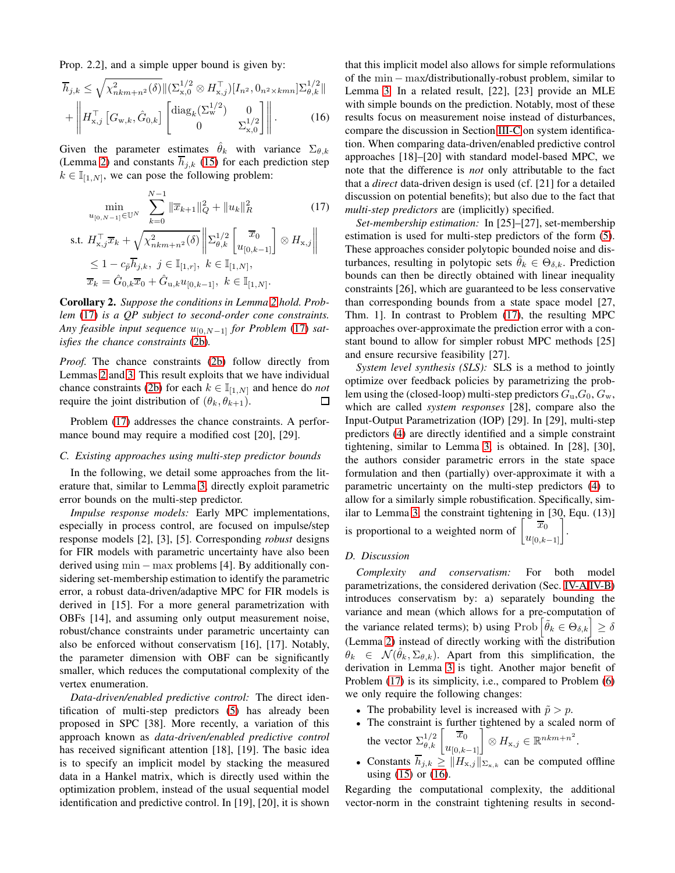Prop. 2.2], and a simple upper bound is given by:

$$
\overline{h}_{j,k} \leq \sqrt{\chi^2_{nkm+n^2}(\delta)} \| (\Sigma_{\mathbf{x},0}^{1/2} \otimes H_{\mathbf{x},j}^{\top}) [I_{n^2}, 0_{n^2 \times kmn}] \Sigma_{\theta,k}^{1/2} \| + \left\| H_{\mathbf{x},j}^{\top} \left[ G_{\mathbf{w},k}, \hat{G}_{0,k} \right] \begin{bmatrix} \text{diag}_k(\Sigma_{\mathbf{w}}^{1/2}) & 0 \\ 0 & \Sigma_{\mathbf{x},0}^{1/2} \end{bmatrix} \right\|.
$$
 (16)

Given the parameter estimates  $\hat{\theta}_k$  with variance  $\Sigma_{\theta,k}$ (Lemma [2\)](#page-2-6) and constants  $\overline{h}_{i,k}$  [\(15\)](#page-4-4) for each prediction step  $k \in \mathbb{I}_{[1,N]}$ , we can pose the following problem:

$$
\min_{u_{[0,N-1]}\in\mathbb{U}^N} \sum_{k=0}^{N-1} \|\overline{x}_{k+1}\|_{Q}^2 + \|u_k\|_{R}^2 \tag{17}
$$
\n
$$
H_{\mathbf{x},j}^{\top} \overline{x}_{k} + \sqrt{\chi_{nkm+n^2}^2(\delta)} \left\| \sum_{\theta,k}^{1/2} \left[ \overline{x}_{0}^{\top} \right] \otimes H_{\mathbf{x},j} \right\|
$$

 $\parallel$  $\frac{1}{2}$ 

s.t. 
$$
H_{x,j}^{\top} \overline{x}_k + \sqrt{\chi_{nkm+n^2}^2(\delta)} \|\Sigma_{\theta,k}^{1/2} \left[\overline{x}_0\right] \otimes H_{x,j}
$$
  
\n $\leq 1 - c_{\overline{p}} \overline{h}_{j,k}, j \in \mathbb{I}_{[1,r]}, k \in \mathbb{I}_{[1,N]},$   
\n $\overline{x}_k = \hat{G}_{0,k} \overline{x}_0 + \hat{G}_{u,k} u_{[0,k-1]}, k \in \mathbb{I}_{[1,N]}.$ 

Corollary 2. *Suppose the conditions in Lemma [2](#page-2-6) hold. Problem* [\(17\)](#page-5-2) *is a QP subject to second-order cone constraints. Any feasible input sequence*  $u_{[0,N-1]}$  *for Problem* [\(17\)](#page-5-2) *satisfies the chance constraints* [\(2b\)](#page-1-5)*.*

*Proof.* The chance constraints [\(2b\)](#page-1-5) follow directly from Lemmas [2](#page-2-6) and [3.](#page-4-6) This result exploits that we have individual chance constraints [\(2b\)](#page-1-5) for each  $k \in I_{[1,N]}$  and hence do *not* require the joint distribution of  $(\theta_k, \theta_{k+1})$ .  $\Box$ 

Problem [\(17\)](#page-5-2) addresses the chance constraints. A performance bound may require a modified cost [20], [29].

### <span id="page-5-0"></span>*C. Existing approaches using multi-step predictor bounds*

In the following, we detail some approaches from the literature that, similar to Lemma [3,](#page-4-6) directly exploit parametric error bounds on the multi-step predictor.

*Impulse response models:* Early MPC implementations, especially in process control, are focused on impulse/step response models [2], [3], [5]. Corresponding *robust* designs for FIR models with parametric uncertainty have also been derived using  $min - max$  problems [4]. By additionally considering set-membership estimation to identify the parametric error, a robust data-driven/adaptive MPC for FIR models is derived in [15]. For a more general parametrization with OBFs [14], and assuming only output measurement noise, robust/chance constraints under parametric uncertainty can also be enforced without conservatism [16], [17]. Notably, the parameter dimension with OBF can be significantly smaller, which reduces the computational complexity of the vertex enumeration.

*Data-driven/enabled predictive control:* The direct identification of multi-step predictors [\(5\)](#page-1-9) has already been proposed in SPC [38]. More recently, a variation of this approach known as *data-driven/enabled predictive control* has received significant attention [18], [19]. The basic idea is to specify an implicit model by stacking the measured data in a Hankel matrix, which is directly used within the optimization problem, instead of the usual sequential model identification and predictive control. In [19], [20], it is shown

<span id="page-5-3"></span>that this implicit model also allows for simple reformulations of the min − max/distributionally-robust problem, similar to Lemma [3.](#page-4-6) In a related result, [22], [23] provide an MLE with simple bounds on the prediction. Notably, most of these results focus on measurement noise instead of disturbances, compare the discussion in Section [III-C](#page-3-0) on system identification. When comparing data-driven/enabled predictive control approaches [18]–[20] with standard model-based MPC, we note that the difference is *not* only attributable to the fact that a *direct* data-driven design is used (cf. [21] for a detailed discussion on potential benefits); but also due to the fact that *multi-step predictors* are (implicitly) specified.

<span id="page-5-2"></span>*Set-membership estimation:* In [25]–[27], set-membership estimation is used for multi-step predictors of the form [\(5\)](#page-1-9). These approaches consider polytopic bounded noise and disturbances, resulting in polytopic sets  $\theta_k \in \Theta_{\delta,k}$ . Prediction bounds can then be directly obtained with linear inequality constraints [26], which are guaranteed to be less conservative than corresponding bounds from a state space model [27, Thm. 1]. In contrast to Problem [\(17\)](#page-5-2), the resulting MPC approaches over-approximate the prediction error with a constant bound to allow for simpler robust MPC methods [25] and ensure recursive feasibility [27].

*System level synthesis (SLS):* SLS is a method to jointly optimize over feedback policies by parametrizing the problem using the (closed-loop) multi-step predictors  $G_u$ ,  $G_0$ ,  $G_w$ , which are called *system responses* [28], compare also the Input-Output Parametrization (IOP) [29]. In [29], multi-step predictors [\(4\)](#page-1-7) are directly identified and a simple constraint tightening, similar to Lemma [3,](#page-4-6) is obtained. In [28], [30], the authors consider parametric errors in the state space formulation and then (partially) over-approximate it with a parametric uncertainty on the multi-step predictors [\(4\)](#page-1-7) to allow for a similarly simple robustification. Specifically, similar to Lemma [3,](#page-4-6) the constraint tightening in [30, Equ. (13)] .

is proportional to a weighted norm of  $\begin{bmatrix} \overline{x}_0 \\ u_{[0,k-1]} \end{bmatrix}$ 

## <span id="page-5-1"></span>*D. Discussion*

*Complexity and conservatism:* For both model parametrizations, the considered derivation (Sec. [IV-A](#page-4-1)[/IV-B\)](#page-4-2) introduces conservatism by: a) separately bounding the variance and mean (which allows for a pre-computation of the variance related terms); b) using  $\text{Prob}\left[\tilde{\theta}_k \in \Theta_{\delta,k}\right] \ge \delta$ (Lemma [2\)](#page-2-6) instead of directly working with the distribution  $\theta_k \in \mathcal{N}(\hat{\theta}_k, \Sigma_{\theta,k})$ . Apart from this simplification, the derivation in Lemma [3](#page-4-6) is tight. Another major benefit of Problem [\(17\)](#page-5-2) is its simplicity, i.e., compared to Problem [\(6\)](#page-1-10) we only require the following changes:

- The probability level is increased with  $\tilde{p} > p$ .
- The constraint is further tightened by a scaled norm of the vector  $\Sigma_{\theta,k}^{1/2} \begin{bmatrix} \overline{x}_0 \\ u_{[0,k-1]} \end{bmatrix} \otimes H_{\mathbf{x},j} \in \mathbb{R}^{nkm+n^2}$ .
- Constants  $h_{j,k} \ge ||H_{x,j}||_{\Sigma_{x,k}}$  can be computed offline using [\(15\)](#page-4-4) or [\(16\)](#page-5-3).

Regarding the computational complexity, the additional vector-norm in the constraint tightening results in second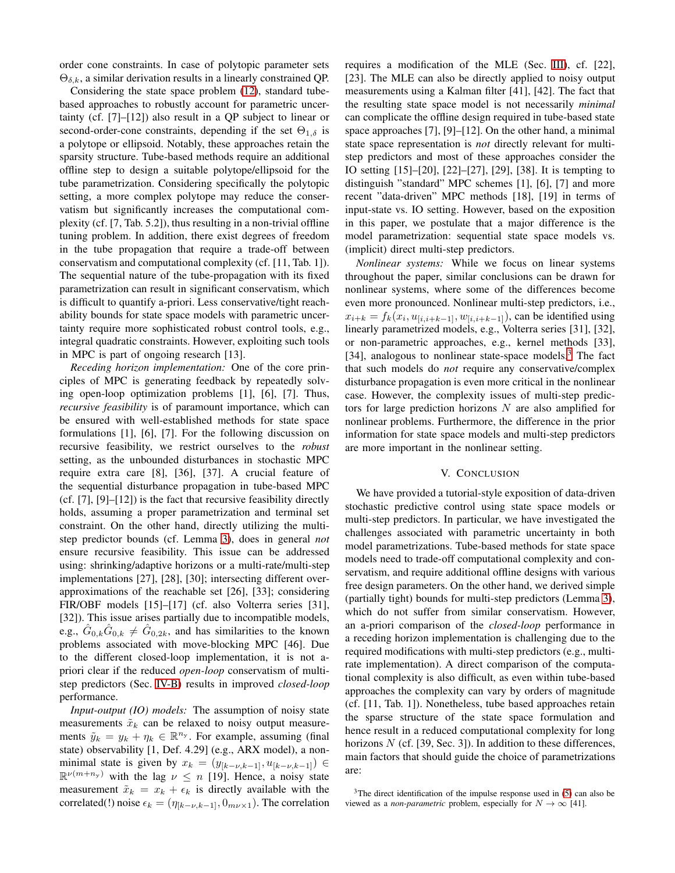order cone constraints. In case of polytopic parameter sets  $\Theta_{\delta,k}$ , a similar derivation results in a linearly constrained QP.

Considering the state space problem [\(12\)](#page-4-3), standard tubebased approaches to robustly account for parametric uncertainty (cf. [7]–[12]) also result in a QP subject to linear or second-order-cone constraints, depending if the set  $\Theta_{1,\delta}$  is a polytope or ellipsoid. Notably, these approaches retain the sparsity structure. Tube-based methods require an additional offline step to design a suitable polytope/ellipsoid for the tube parametrization. Considering specifically the polytopic setting, a more complex polytope may reduce the conservatism but significantly increases the computational complexity (cf. [7, Tab. 5.2]), thus resulting in a non-trivial offline tuning problem. In addition, there exist degrees of freedom in the tube propagation that require a trade-off between conservatism and computational complexity (cf. [11, Tab. 1]). The sequential nature of the tube-propagation with its fixed parametrization can result in significant conservatism, which is difficult to quantify a-priori. Less conservative/tight reachability bounds for state space models with parametric uncertainty require more sophisticated robust control tools, e.g., integral quadratic constraints. However, exploiting such tools in MPC is part of ongoing research [13].

*Receding horizon implementation:* One of the core principles of MPC is generating feedback by repeatedly solving open-loop optimization problems [1], [6], [7]. Thus, *recursive feasibility* is of paramount importance, which can be ensured with well-established methods for state space formulations [1], [6], [7]. For the following discussion on recursive feasibility, we restrict ourselves to the *robust* setting, as the unbounded disturbances in stochastic MPC require extra care [8], [36], [37]. A crucial feature of the sequential disturbance propagation in tube-based MPC (cf. [7], [9]–[12]) is the fact that recursive feasibility directly holds, assuming a proper parametrization and terminal set constraint. On the other hand, directly utilizing the multistep predictor bounds (cf. Lemma [3\)](#page-4-6), does in general *not* ensure recursive feasibility. This issue can be addressed using: shrinking/adaptive horizons or a multi-rate/multi-step implementations [27], [28], [30]; intersecting different overapproximations of the reachable set [26], [33]; considering FIR/OBF models [15]–[17] (cf. also Volterra series [31], [32]). This issue arises partially due to incompatible models, e.g.,  $\hat{G}_{0,k}\hat{G}_{0,k} \neq \hat{G}_{0,2k}$ , and has similarities to the known problems associated with move-blocking MPC [46]. Due to the different closed-loop implementation, it is not apriori clear if the reduced *open-loop* conservatism of multistep predictors (Sec. [IV-B\)](#page-4-2) results in improved *closed-loop* performance.

*Input-output (IO) models:* The assumption of noisy state measurements  $\tilde{x}_k$  can be relaxed to noisy output measurements  $\tilde{y}_k = y_k + \eta_k \in \mathbb{R}^{n_y}$ . For example, assuming (final state) observability [1, Def. 4.29] (e.g., ARX model), a nonminimal state is given by  $x_k = (y_{[k-\nu,k-1]}, u_{[k-\nu,k-1]}) \in$  $\mathbb{R}^{\nu(m+n_y)}$  with the lag  $\nu \leq n$  [19]. Hence, a noisy state measurement  $\tilde{x}_k = x_k + \epsilon_k$  is directly available with the correlated(!) noise  $\epsilon_k = (\eta_{[k-\nu,k-1]}, 0_{m\nu \times 1})$ . The correlation requires a modification of the MLE (Sec. [III\)](#page-2-0), cf. [22], [23]. The MLE can also be directly applied to noisy output measurements using a Kalman filter [41], [42]. The fact that the resulting state space model is not necessarily *minimal* can complicate the offline design required in tube-based state space approaches [7], [9]–[12]. On the other hand, a minimal state space representation is *not* directly relevant for multistep predictors and most of these approaches consider the IO setting [15]–[20], [22]–[27], [29], [38]. It is tempting to distinguish "standard" MPC schemes [1], [6], [7] and more recent "data-driven" MPC methods [18], [19] in terms of input-state vs. IO setting. However, based on the exposition in this paper, we postulate that a major difference is the model parametrization: sequential state space models vs. (implicit) direct multi-step predictors.

*Nonlinear systems:* While we focus on linear systems throughout the paper, similar conclusions can be drawn for nonlinear systems, where some of the differences become even more pronounced. Nonlinear multi-step predictors, i.e.,  $x_{i+k} = f_k(x_i, u_{[i,i+k-1]}, w_{[i,i+k-1]}),$  can be identified using linearly parametrized models, e.g., Volterra series [31], [32], or non-parametric approaches, e.g., kernel methods [33], [34], analogous to nonlinear state-space models.<sup>3</sup> The fact that such models do *not* require any conservative/complex disturbance propagation is even more critical in the nonlinear case. However, the complexity issues of multi-step predictors for large prediction horizons N are also amplified for nonlinear problems. Furthermore, the difference in the prior information for state space models and multi-step predictors are more important in the nonlinear setting.

## V. CONCLUSION

We have provided a tutorial-style exposition of data-driven stochastic predictive control using state space models or multi-step predictors. In particular, we have investigated the challenges associated with parametric uncertainty in both model parametrizations. Tube-based methods for state space models need to trade-off computational complexity and conservatism, and require additional offline designs with various free design parameters. On the other hand, we derived simple (partially tight) bounds for multi-step predictors (Lemma [3\)](#page-4-6), which do not suffer from similar conservatism. However, an a-priori comparison of the *closed-loop* performance in a receding horizon implementation is challenging due to the required modifications with multi-step predictors (e.g., multirate implementation). A direct comparison of the computational complexity is also difficult, as even within tube-based approaches the complexity can vary by orders of magnitude (cf. [11, Tab. 1]). Nonetheless, tube based approaches retain the sparse structure of the state space formulation and hence result in a reduced computational complexity for long horizons  $N$  (cf. [39, Sec. 3]). In addition to these differences, main factors that should guide the choice of parametrizations are:

 $3$ The direct identification of the impulse response used in [\(5\)](#page-1-9) can also be viewed as a *non-parametric* problem, especially for  $N \to \infty$  [41].